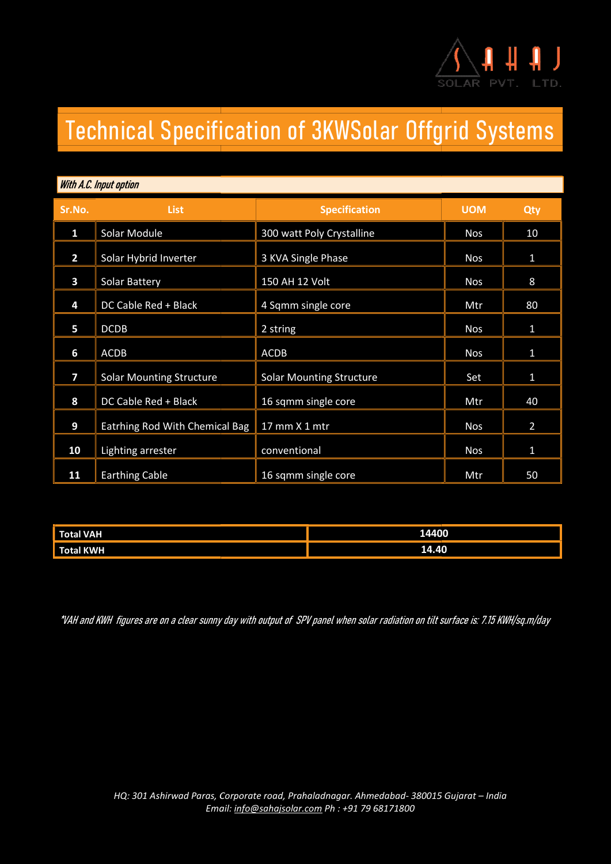

## Technical Specification of 3KWSolar Offgrid Systems

## With A.C. Input option

| Sr.No.         | <b>List</b>                                    | <b>Specification</b>            | <b>UOM</b> | Qty            |
|----------------|------------------------------------------------|---------------------------------|------------|----------------|
| 1              | Solar Module                                   | 300 watt Poly Crystalline       | <b>Nos</b> | 10             |
| $\overline{2}$ | Solar Hybrid Inverter                          | 3 KVA Single Phase              | <b>Nos</b> | 1              |
| 3              | <b>Solar Battery</b>                           | 150 AH 12 Volt                  | <b>Nos</b> | 8              |
| 4              | DC Cable Red + Black                           | 4 Sqmm single core              | Mtr        | 80             |
| 5              | <b>DCDB</b>                                    | 2 string                        | <b>Nos</b> | 1              |
| 6              | <b>ACDB</b>                                    | <b>ACDB</b>                     | <b>Nos</b> | 1              |
| 7              | <b>Solar Mounting Structure</b>                | <b>Solar Mounting Structure</b> | Set        | 1              |
| 8              | DC Cable Red + Black                           | 16 sqmm single core             | Mtr        | 40             |
| 9              | Eatrhing Rod With Chemical Bag   17 mm X 1 mtr |                                 | <b>Nos</b> | $\overline{2}$ |
| 10             | Lighting arrester                              | conventional                    | <b>Nos</b> | 1              |
| 11             | <b>Earthing Cable</b>                          | 16 sqmm single core             | Mtr        | 50             |

| ıl VAH<br><b>Tota</b>                                 | 14400 |
|-------------------------------------------------------|-------|
| il KWHI<br><b>Tot.</b><br>.<br><b>Service Service</b> | 14.40 |

\*VAH and KWH figures are on a clear sunny day with output of SPV panel when solar radiation on tilt surface is: 7.15 KWH/sq.m/day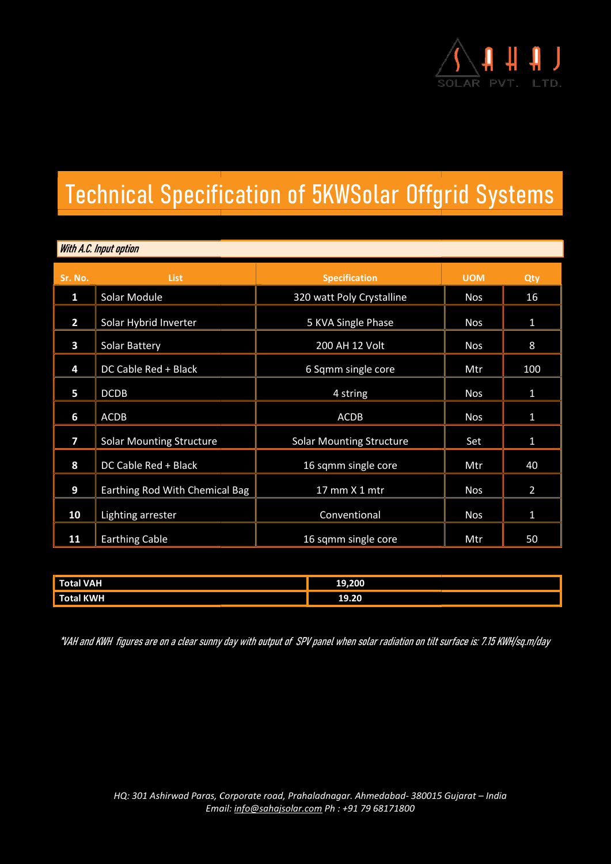

## Technical Specification of 5KWSolar Offgrid Systems

| With A.C. Input option |                                 |                                 |            |                |
|------------------------|---------------------------------|---------------------------------|------------|----------------|
| Sr. No.                | List                            | <b>Specification</b>            | <b>UOM</b> | Qty            |
| 1                      | Solar Module                    | 320 watt Poly Crystalline       | <b>Nos</b> | 16             |
| $\overline{2}$         | Solar Hybrid Inverter           | 5 KVA Single Phase              | <b>Nos</b> | $\mathbf{1}$   |
| 3                      | <b>Solar Battery</b>            | 200 AH 12 Volt                  | <b>Nos</b> | 8              |
| 4                      | DC Cable Red + Black            | 6 Sqmm single core              | Mtr        | 100            |
| 5                      | <b>DCDB</b>                     | 4 string                        | <b>Nos</b> | $\mathbf{1}$   |
| 6                      | <b>ACDB</b>                     | <b>ACDB</b>                     | <b>Nos</b> | 1              |
| 7                      | <b>Solar Mounting Structure</b> | <b>Solar Mounting Structure</b> | Set        | 1              |
| 8                      | DC Cable Red + Black            | 16 sqmm single core             | Mtr        | 40             |
| 9                      | Earthing Rod With Chemical Bag  | 17 mm X 1 mtr                   | <b>Nos</b> | $\overline{2}$ |
| 10                     | Lighting arrester               | Conventional                    | <b>Nos</b> | 1              |
| 11                     | <b>Earthing Cable</b>           | 16 sqmm single core             | Mtr        | 50             |

| Total VAH                                                                                                                                | 19,200 |  |
|------------------------------------------------------------------------------------------------------------------------------------------|--------|--|
| al KWH<br><b>Total</b><br>and the state of the state of the state of the state of the state of the state of the state of the state of th | 19.20  |  |

\*VAH and KWH figures are on a clear sunny day with output of SPV panel when solar radiation on tilt surface is: 7.15 KWH/sq.m/day